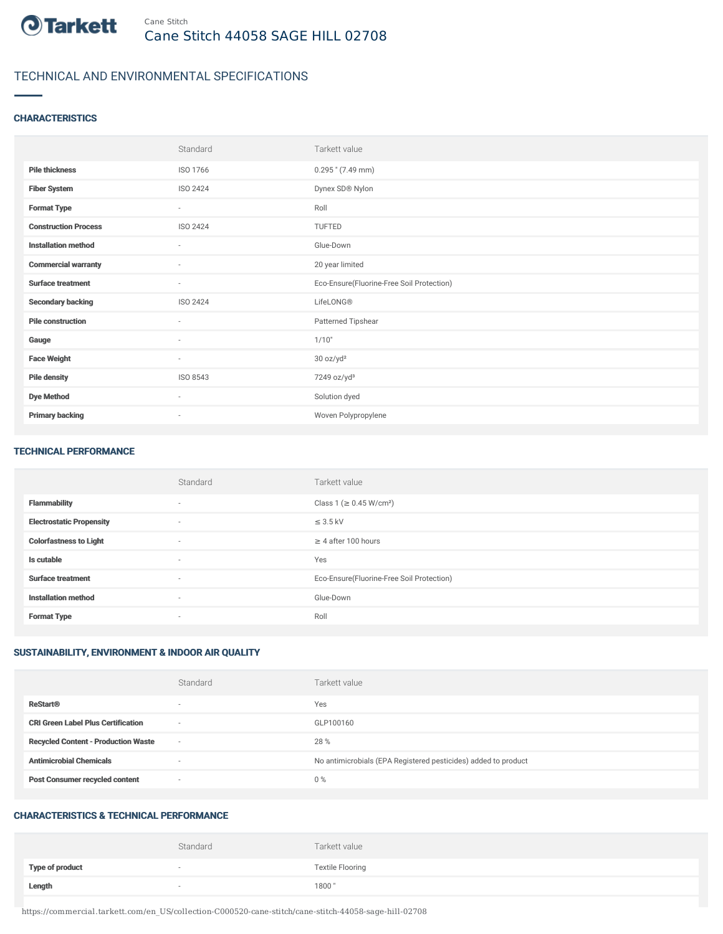

## TECHNICAL AND ENVIRONMENTAL SPECIFICATIONS

### **CHARACTERISTICS**

|                             | Standard                 | Tarkett value                             |
|-----------------------------|--------------------------|-------------------------------------------|
| <b>Pile thickness</b>       | ISO 1766                 | $0.295$ " (7.49 mm)                       |
| <b>Fiber System</b>         | ISO 2424                 | Dynex SD® Nylon                           |
| <b>Format Type</b>          | $\sim$                   | Roll                                      |
| <b>Construction Process</b> | ISO 2424                 | <b>TUFTED</b>                             |
| <b>Installation method</b>  | $\sim$                   | Glue-Down                                 |
| <b>Commercial warranty</b>  | $\sim$                   | 20 year limited                           |
| <b>Surface treatment</b>    | $\sim$                   | Eco-Ensure(Fluorine-Free Soil Protection) |
| <b>Secondary backing</b>    | ISO 2424                 | LifeLONG®                                 |
| <b>Pile construction</b>    | ٠                        | Patterned Tipshear                        |
| Gauge                       | $\sim$                   | 1/10"                                     |
| <b>Face Weight</b>          | $\sim$                   | 30 oz/yd <sup>2</sup>                     |
| <b>Pile density</b>         | ISO 8543                 | 7249 oz/yd <sup>3</sup>                   |
| <b>Dye Method</b>           | $\sim$                   | Solution dyed                             |
| <b>Primary backing</b>      | $\overline{\phantom{a}}$ | Woven Polypropylene                       |

#### TECHNICAL PERFORMANCE

|                                 | Standard                 | Tarkett value                             |
|---------------------------------|--------------------------|-------------------------------------------|
| <b>Flammability</b>             | $\sim$                   | Class 1 (≥ 0.45 W/cm <sup>2</sup> )       |
| <b>Electrostatic Propensity</b> | $\sim$                   | $\leq$ 3.5 kV                             |
| <b>Colorfastness to Light</b>   | $\sim$                   | $\geq$ 4 after 100 hours                  |
| Is cutable                      | $\sim$                   | Yes                                       |
| <b>Surface treatment</b>        | $\overline{\phantom{a}}$ | Eco-Ensure(Fluorine-Free Soil Protection) |
| <b>Installation method</b>      | $\sim$                   | Glue-Down                                 |
| <b>Format Type</b>              | $\overline{\phantom{a}}$ | Roll                                      |

## SUSTAINABILITY, ENVIRONMENT & INDOOR AIR QUALITY

|                                            | Standard                 | Tarkett value                                                  |
|--------------------------------------------|--------------------------|----------------------------------------------------------------|
| <b>ReStart®</b>                            | $\overline{\phantom{a}}$ | Yes                                                            |
| <b>CRI Green Label Plus Certification</b>  | $\overline{\phantom{a}}$ | GLP100160                                                      |
| <b>Recycled Content - Production Waste</b> | $\overline{\phantom{a}}$ | 28 %                                                           |
| <b>Antimicrobial Chemicals</b>             | $\overline{\phantom{a}}$ | No antimicrobials (EPA Registered pesticides) added to product |
| <b>Post Consumer recycled content</b>      | $\sim$                   | $0\%$                                                          |

#### CHARACTERISTICS & TECHNICAL PERFORMANCE

|                        | Standard | Tarkett value           |
|------------------------|----------|-------------------------|
| <b>Type of product</b> |          | <b>Textile Flooring</b> |
| Length                 |          | 1800"                   |

https://commercial.tarkett.com/en\_US/collection-C000520-cane-stitch/cane-stitch-44058-sage-hill-02708